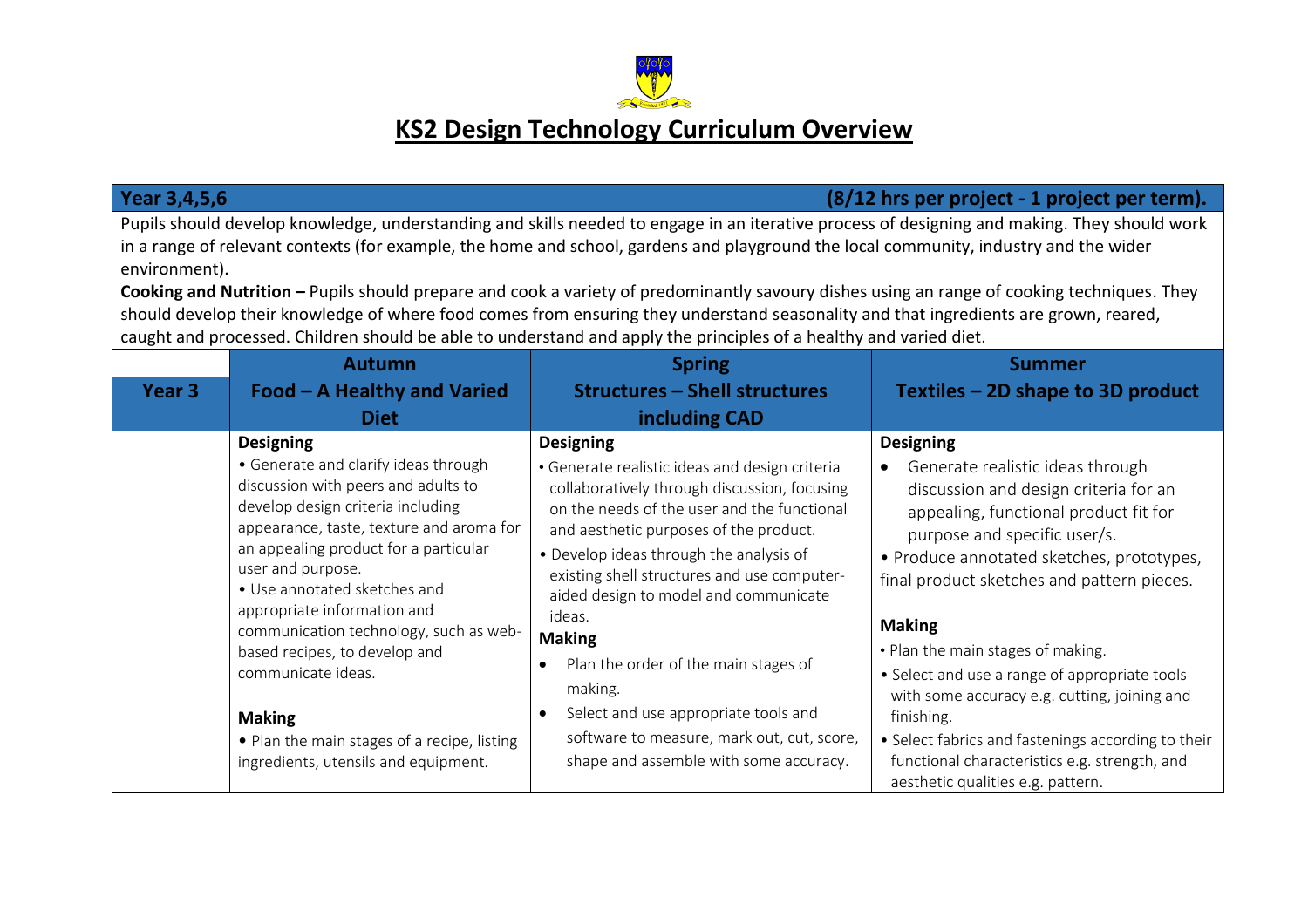# Founded 1871 **KS2 Design Technology Curriculum Overview**

| <b>Year 3,4,5,6</b><br>(8/12 hrs per project - 1 project per term).                                                                                                                                                                                                                                                                                                                                                                                                                                                                                                                                                                                                                                                 |                                                                                                                                                                                                                                                                                                                                                                                                                                                                                                                        |                                                                                                                                                                                                                                                                                                                                                                                                                                                                                                                                                              |                                                                                                                                                                                                                                                                                                                                                                                                                                                                                                                                                                                                 |  |
|---------------------------------------------------------------------------------------------------------------------------------------------------------------------------------------------------------------------------------------------------------------------------------------------------------------------------------------------------------------------------------------------------------------------------------------------------------------------------------------------------------------------------------------------------------------------------------------------------------------------------------------------------------------------------------------------------------------------|------------------------------------------------------------------------------------------------------------------------------------------------------------------------------------------------------------------------------------------------------------------------------------------------------------------------------------------------------------------------------------------------------------------------------------------------------------------------------------------------------------------------|--------------------------------------------------------------------------------------------------------------------------------------------------------------------------------------------------------------------------------------------------------------------------------------------------------------------------------------------------------------------------------------------------------------------------------------------------------------------------------------------------------------------------------------------------------------|-------------------------------------------------------------------------------------------------------------------------------------------------------------------------------------------------------------------------------------------------------------------------------------------------------------------------------------------------------------------------------------------------------------------------------------------------------------------------------------------------------------------------------------------------------------------------------------------------|--|
| Pupils should develop knowledge, understanding and skills needed to engage in an iterative process of designing and making. They should work<br>in a range of relevant contexts (for example, the home and school, gardens and playground the local community, industry and the wider<br>environment).<br>Cooking and Nutrition - Pupils should prepare and cook a variety of predominantly savoury dishes using an range of cooking techniques. They<br>should develop their knowledge of where food comes from ensuring they understand seasonality and that ingredients are grown, reared,<br>caught and processed. Children should be able to understand and apply the principles of a healthy and varied diet. |                                                                                                                                                                                                                                                                                                                                                                                                                                                                                                                        |                                                                                                                                                                                                                                                                                                                                                                                                                                                                                                                                                              |                                                                                                                                                                                                                                                                                                                                                                                                                                                                                                                                                                                                 |  |
|                                                                                                                                                                                                                                                                                                                                                                                                                                                                                                                                                                                                                                                                                                                     | <b>Autumn</b>                                                                                                                                                                                                                                                                                                                                                                                                                                                                                                          | <b>Spring</b>                                                                                                                                                                                                                                                                                                                                                                                                                                                                                                                                                | <b>Summer</b>                                                                                                                                                                                                                                                                                                                                                                                                                                                                                                                                                                                   |  |
| Year 3                                                                                                                                                                                                                                                                                                                                                                                                                                                                                                                                                                                                                                                                                                              | Food - A Healthy and Varied<br><b>Diet</b>                                                                                                                                                                                                                                                                                                                                                                                                                                                                             | <b>Structures - Shell structures</b><br>including CAD                                                                                                                                                                                                                                                                                                                                                                                                                                                                                                        | Textiles - 2D shape to 3D product                                                                                                                                                                                                                                                                                                                                                                                                                                                                                                                                                               |  |
|                                                                                                                                                                                                                                                                                                                                                                                                                                                                                                                                                                                                                                                                                                                     | <b>Designing</b><br>• Generate and clarify ideas through<br>discussion with peers and adults to<br>develop design criteria including<br>appearance, taste, texture and aroma for<br>an appealing product for a particular<br>user and purpose.<br>• Use annotated sketches and<br>appropriate information and<br>communication technology, such as web-<br>based recipes, to develop and<br>communicate ideas.<br><b>Making</b><br>• Plan the main stages of a recipe, listing<br>ingredients, utensils and equipment. | <b>Designing</b><br>• Generate realistic ideas and design criteria<br>collaboratively through discussion, focusing<br>on the needs of the user and the functional<br>and aesthetic purposes of the product.<br>• Develop ideas through the analysis of<br>existing shell structures and use computer-<br>aided design to model and communicate<br>ideas.<br><b>Making</b><br>Plan the order of the main stages of<br>making.<br>Select and use appropriate tools and<br>software to measure, mark out, cut, score,<br>shape and assemble with some accuracy. | <b>Designing</b><br>Generate realistic ideas through<br>$\bullet$<br>discussion and design criteria for an<br>appealing, functional product fit for<br>purpose and specific user/s.<br>• Produce annotated sketches, prototypes,<br>final product sketches and pattern pieces.<br><b>Making</b><br>• Plan the main stages of making.<br>• Select and use a range of appropriate tools<br>with some accuracy e.g. cutting, joining and<br>finishing.<br>• Select fabrics and fastenings according to their<br>functional characteristics e.g. strength, and<br>aesthetic qualities e.g. pattern. |  |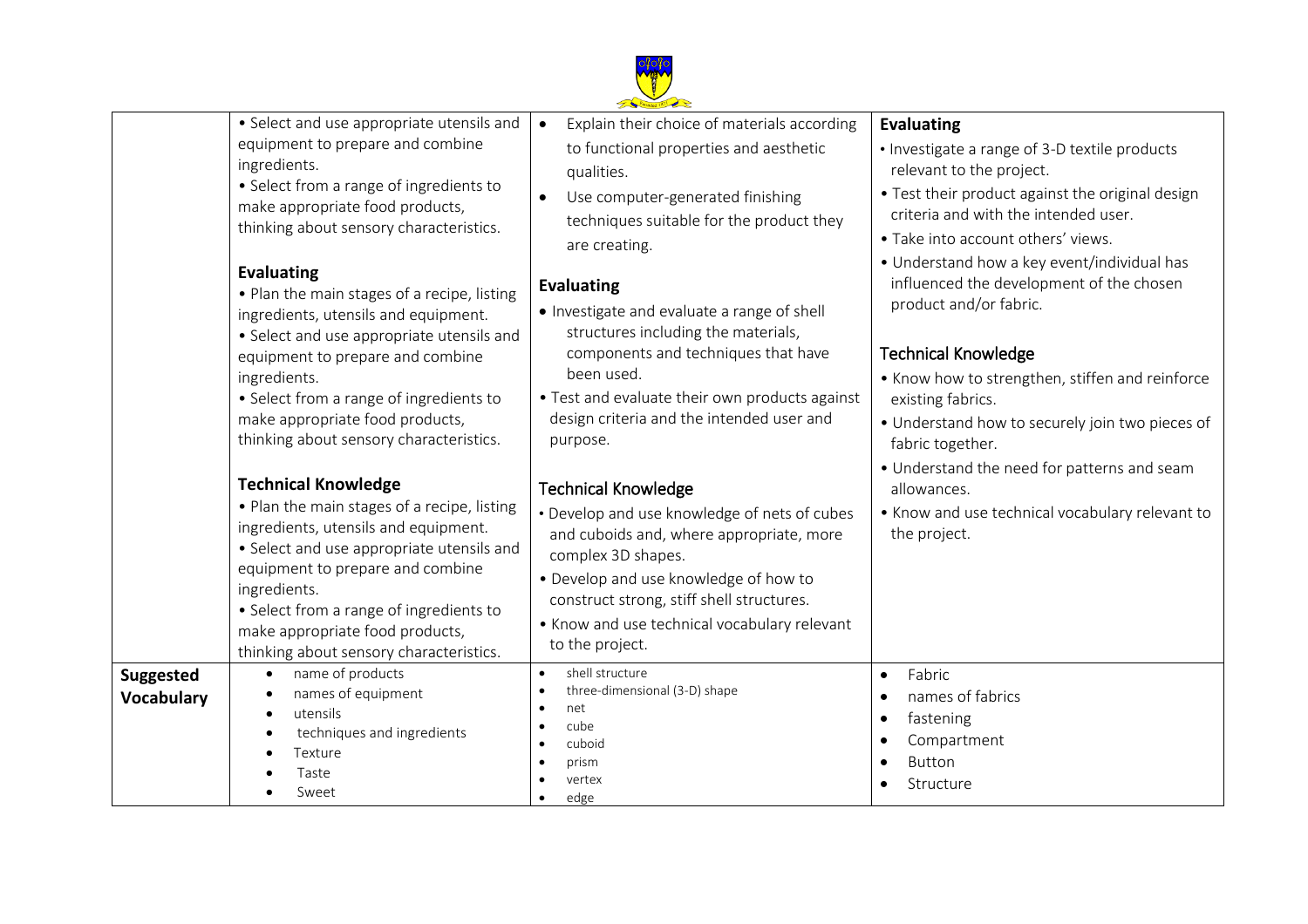

|                                       | • Select and use appropriate utensils and<br>equipment to prepare and combine<br>ingredients.<br>• Select from a range of ingredients to<br>make appropriate food products,<br>thinking about sensory characteristics.<br><b>Evaluating</b><br>• Plan the main stages of a recipe, listing<br>ingredients, utensils and equipment.<br>• Select and use appropriate utensils and<br>equipment to prepare and combine<br>ingredients.<br>• Select from a range of ingredients to<br>make appropriate food products,<br>thinking about sensory characteristics.<br><b>Technical Knowledge</b><br>• Plan the main stages of a recipe, listing<br>ingredients, utensils and equipment.<br>• Select and use appropriate utensils and<br>equipment to prepare and combine<br>ingredients.<br>• Select from a range of ingredients to<br>make appropriate food products,<br>thinking about sensory characteristics. | Explain their choice of materials according<br>$\bullet$<br>to functional properties and aesthetic<br>qualities.<br>Use computer-generated finishing<br>$\bullet$<br>techniques suitable for the product they<br>are creating.<br><b>Evaluating</b><br>• Investigate and evaluate a range of shell<br>structures including the materials,<br>components and techniques that have<br>been used.<br>• Test and evaluate their own products against<br>design criteria and the intended user and<br>purpose.<br><b>Technical Knowledge</b><br>• Develop and use knowledge of nets of cubes<br>and cuboids and, where appropriate, more<br>complex 3D shapes.<br>• Develop and use knowledge of how to<br>construct strong, stiff shell structures.<br>• Know and use technical vocabulary relevant<br>to the project. | <b>Evaluating</b><br>• Investigate a range of 3-D textile products<br>relevant to the project.<br>• Test their product against the original design<br>criteria and with the intended user.<br>. Take into account others' views.<br>• Understand how a key event/individual has<br>influenced the development of the chosen<br>product and/or fabric.<br><b>Technical Knowledge</b><br>• Know how to strengthen, stiffen and reinforce<br>existing fabrics.<br>• Understand how to securely join two pieces of<br>fabric together.<br>• Understand the need for patterns and seam<br>allowances.<br>• Know and use technical vocabulary relevant to<br>the project. |
|---------------------------------------|-------------------------------------------------------------------------------------------------------------------------------------------------------------------------------------------------------------------------------------------------------------------------------------------------------------------------------------------------------------------------------------------------------------------------------------------------------------------------------------------------------------------------------------------------------------------------------------------------------------------------------------------------------------------------------------------------------------------------------------------------------------------------------------------------------------------------------------------------------------------------------------------------------------|--------------------------------------------------------------------------------------------------------------------------------------------------------------------------------------------------------------------------------------------------------------------------------------------------------------------------------------------------------------------------------------------------------------------------------------------------------------------------------------------------------------------------------------------------------------------------------------------------------------------------------------------------------------------------------------------------------------------------------------------------------------------------------------------------------------------|---------------------------------------------------------------------------------------------------------------------------------------------------------------------------------------------------------------------------------------------------------------------------------------------------------------------------------------------------------------------------------------------------------------------------------------------------------------------------------------------------------------------------------------------------------------------------------------------------------------------------------------------------------------------|
| <b>Suggested</b><br><b>Vocabulary</b> | name of products<br>$\bullet$<br>names of equipment<br>utensils<br>techniques and ingredients<br>Texture<br>Taste<br>Sweet                                                                                                                                                                                                                                                                                                                                                                                                                                                                                                                                                                                                                                                                                                                                                                                  | shell structure<br>$\bullet$<br>three-dimensional (3-D) shape<br>$\bullet$<br>net<br>$\bullet$<br>cube<br>cuboid<br>prism<br>vertex<br>edge<br>$\bullet$                                                                                                                                                                                                                                                                                                                                                                                                                                                                                                                                                                                                                                                           | Fabric<br>$\bullet$<br>names of fabrics<br>fastening<br>Compartment<br><b>Button</b><br>Structure                                                                                                                                                                                                                                                                                                                                                                                                                                                                                                                                                                   |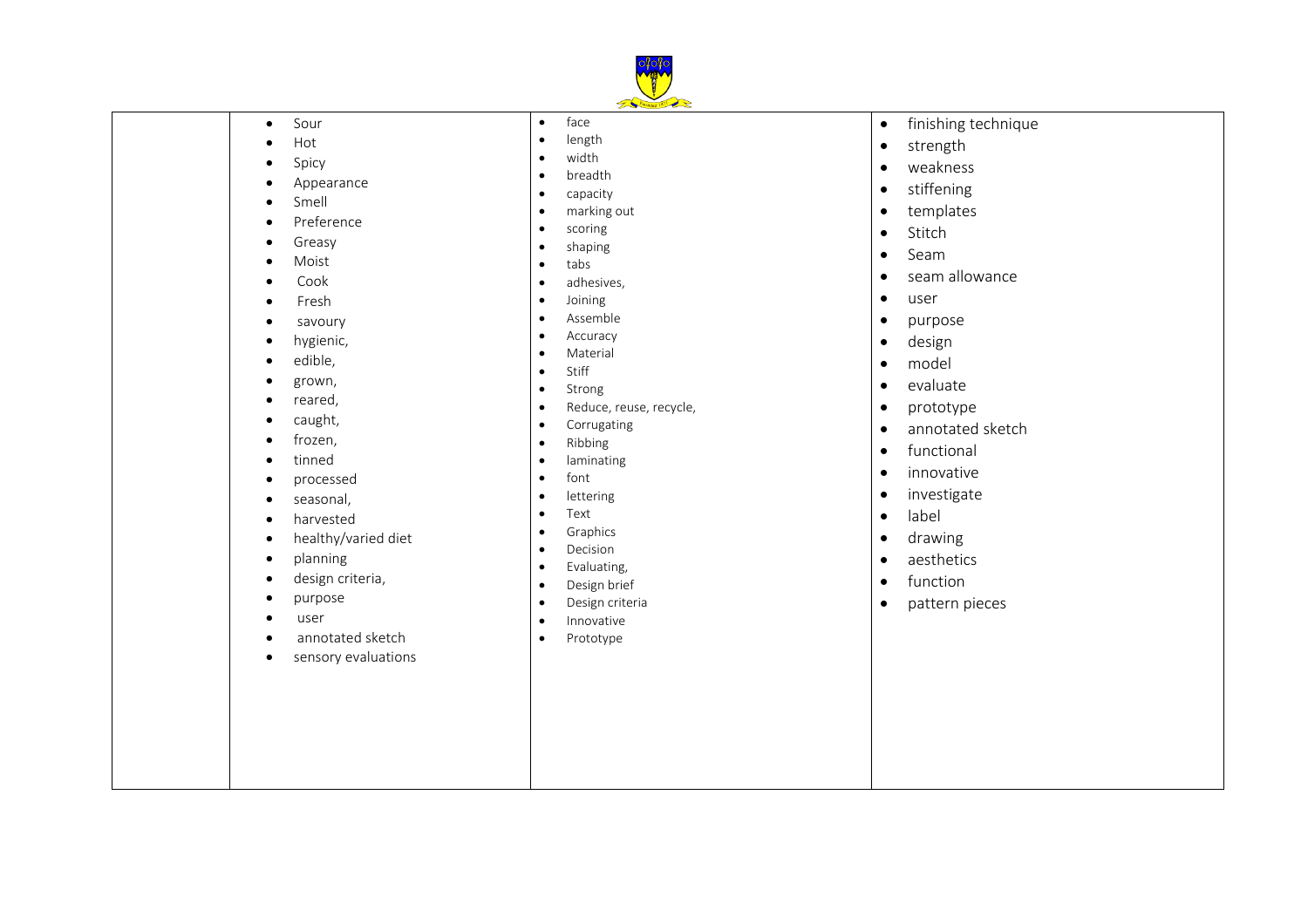

- Sour
- Hot  $\bullet$  Spicy
- **•** Appearance
- Smell
- Preference
- **•** Greasy
- Moist
- $\bullet$  Cook
- Fresh
- **•** savoury
- hygienic,
- edible,
- grown,
- reared,
- caught,
- frozen,
- tinned
- processed
- seasonal,
- **•** harvested
- healthy/varied diet
- planning
- design criteria,
- purpose
- user
- annotated sketch
- 
- 
- 
- 
- 
- 
- 
- 
- 
- 
- 
- 
- 
- 
- 
- 
- 
- 
- 
- 
- 
- 
- 
- 
- 
- 
- 
- 
- 
- Source of the special of the special of the special of the special of the special of the special of the special of the special of the special of the special of the special of the special of the special of the special of
	-
	-
	-
	-
	-
	-
	-
	-
	-
	-
	-
	-
	-
	-
	-
	-
	-
	-
	-
	-
	-
	-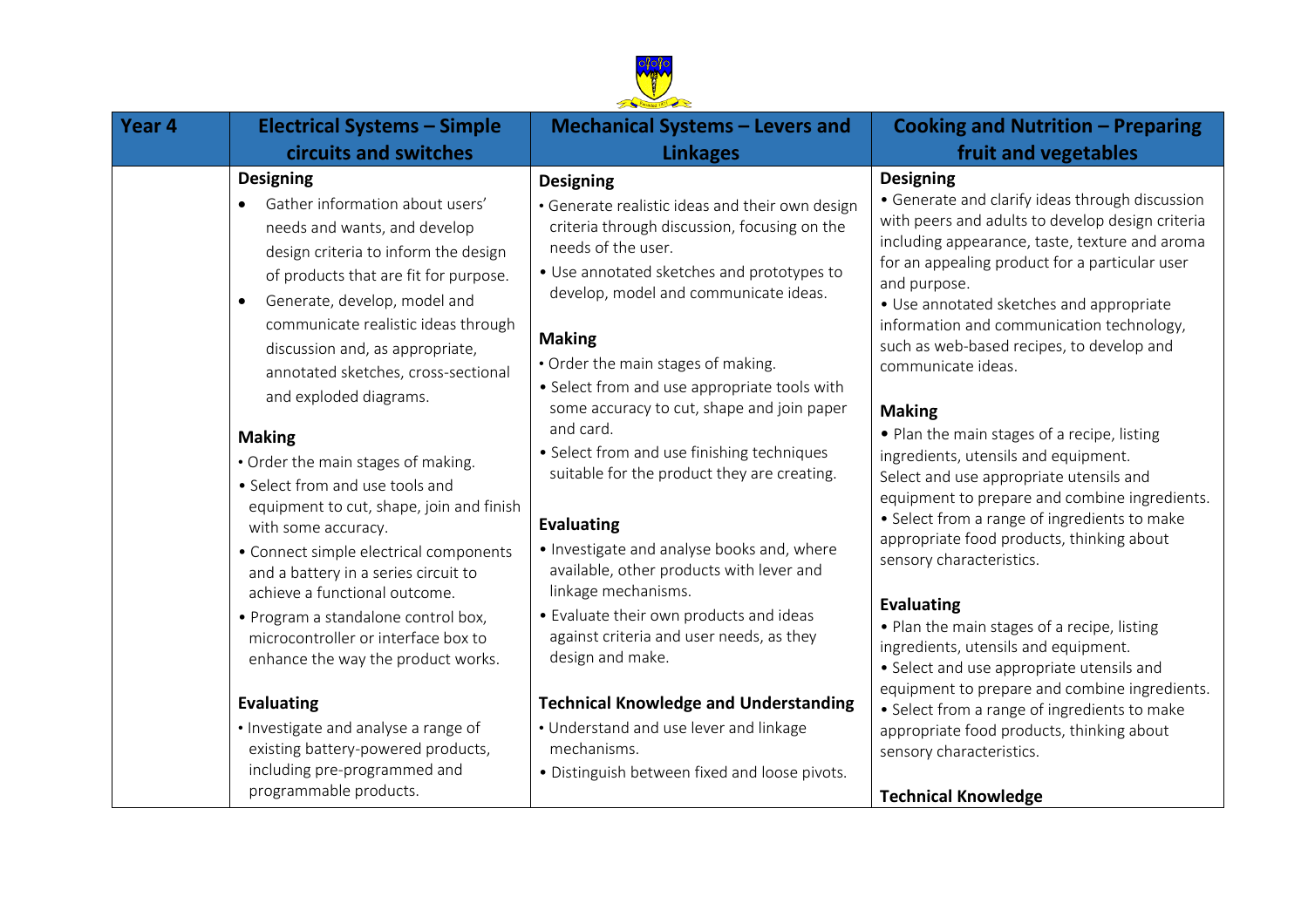

| Year 4 | <b>Electrical Systems - Simple</b>                                                                                                                                                                                                                                                                                                                                                                                                                                                                                                                                                                                                                                                                                                                                                                                                                                                                                            | <b>Mechanical Systems - Levers and</b>                                                                                                                                                                                                                                                                                                                                                                                                                                                                                                                                                                                                                                                                                                                                                                                                                                                                     | <b>Cooking and Nutrition - Preparing</b>                                                                                                                                                                                                                                                                                                                                                                                                                                                                                                                                                                                                                                                                                                                                                                                                                                                                                                                                                                                                                                                              |
|--------|-------------------------------------------------------------------------------------------------------------------------------------------------------------------------------------------------------------------------------------------------------------------------------------------------------------------------------------------------------------------------------------------------------------------------------------------------------------------------------------------------------------------------------------------------------------------------------------------------------------------------------------------------------------------------------------------------------------------------------------------------------------------------------------------------------------------------------------------------------------------------------------------------------------------------------|------------------------------------------------------------------------------------------------------------------------------------------------------------------------------------------------------------------------------------------------------------------------------------------------------------------------------------------------------------------------------------------------------------------------------------------------------------------------------------------------------------------------------------------------------------------------------------------------------------------------------------------------------------------------------------------------------------------------------------------------------------------------------------------------------------------------------------------------------------------------------------------------------------|-------------------------------------------------------------------------------------------------------------------------------------------------------------------------------------------------------------------------------------------------------------------------------------------------------------------------------------------------------------------------------------------------------------------------------------------------------------------------------------------------------------------------------------------------------------------------------------------------------------------------------------------------------------------------------------------------------------------------------------------------------------------------------------------------------------------------------------------------------------------------------------------------------------------------------------------------------------------------------------------------------------------------------------------------------------------------------------------------------|
|        | circuits and switches                                                                                                                                                                                                                                                                                                                                                                                                                                                                                                                                                                                                                                                                                                                                                                                                                                                                                                         | <b>Linkages</b>                                                                                                                                                                                                                                                                                                                                                                                                                                                                                                                                                                                                                                                                                                                                                                                                                                                                                            | fruit and vegetables                                                                                                                                                                                                                                                                                                                                                                                                                                                                                                                                                                                                                                                                                                                                                                                                                                                                                                                                                                                                                                                                                  |
|        | <b>Designing</b><br>Gather information about users'<br>needs and wants, and develop<br>design criteria to inform the design<br>of products that are fit for purpose.<br>Generate, develop, model and<br>$\bullet$<br>communicate realistic ideas through<br>discussion and, as appropriate,<br>annotated sketches, cross-sectional<br>and exploded diagrams.<br><b>Making</b><br>• Order the main stages of making.<br>• Select from and use tools and<br>equipment to cut, shape, join and finish<br>with some accuracy.<br>• Connect simple electrical components<br>and a battery in a series circuit to<br>achieve a functional outcome.<br>• Program a standalone control box,<br>microcontroller or interface box to<br>enhance the way the product works.<br><b>Evaluating</b><br>• Investigate and analyse a range of<br>existing battery-powered products,<br>including pre-programmed and<br>programmable products. | <b>Designing</b><br>• Generate realistic ideas and their own design<br>criteria through discussion, focusing on the<br>needs of the user.<br>• Use annotated sketches and prototypes to<br>develop, model and communicate ideas.<br><b>Making</b><br>• Order the main stages of making.<br>• Select from and use appropriate tools with<br>some accuracy to cut, shape and join paper<br>and card.<br>• Select from and use finishing techniques<br>suitable for the product they are creating.<br><b>Evaluating</b><br>• Investigate and analyse books and, where<br>available, other products with lever and<br>linkage mechanisms.<br>• Evaluate their own products and ideas<br>against criteria and user needs, as they<br>design and make.<br><b>Technical Knowledge and Understanding</b><br>• Understand and use lever and linkage<br>mechanisms.<br>· Distinguish between fixed and loose pivots. | <b>Designing</b><br>• Generate and clarify ideas through discussion<br>with peers and adults to develop design criteria<br>including appearance, taste, texture and aroma<br>for an appealing product for a particular user<br>and purpose.<br>• Use annotated sketches and appropriate<br>information and communication technology,<br>such as web-based recipes, to develop and<br>communicate ideas.<br><b>Making</b><br>• Plan the main stages of a recipe, listing<br>ingredients, utensils and equipment.<br>Select and use appropriate utensils and<br>equipment to prepare and combine ingredients.<br>• Select from a range of ingredients to make<br>appropriate food products, thinking about<br>sensory characteristics.<br><b>Evaluating</b><br>• Plan the main stages of a recipe, listing<br>ingredients, utensils and equipment.<br>• Select and use appropriate utensils and<br>equipment to prepare and combine ingredients.<br>• Select from a range of ingredients to make<br>appropriate food products, thinking about<br>sensory characteristics.<br><b>Technical Knowledge</b> |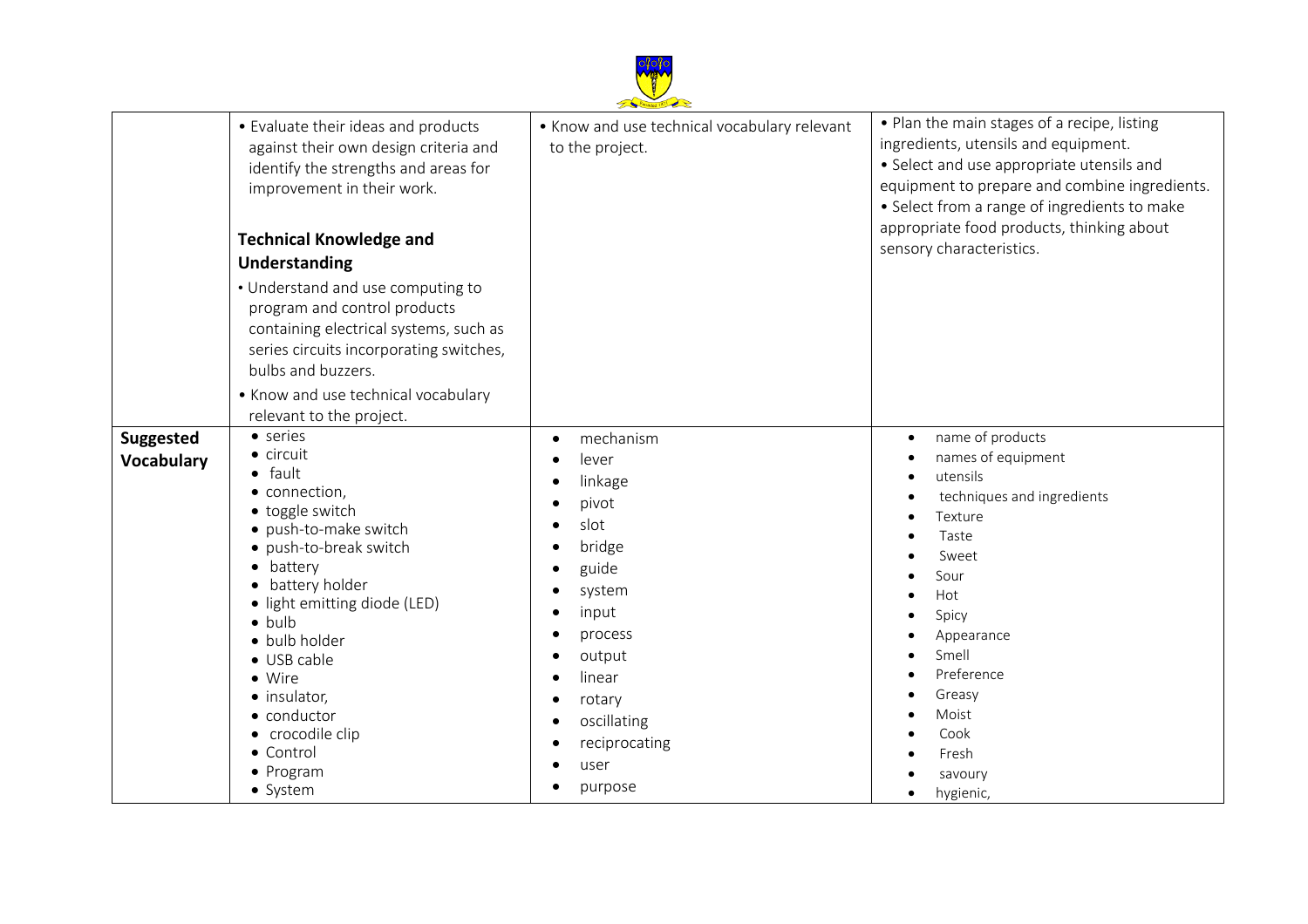

|                                       | • Evaluate their ideas and products<br>against their own design criteria and<br>identify the strengths and areas for<br>improvement in their work.<br><b>Technical Knowledge and</b><br>Understanding<br>• Understand and use computing to<br>program and control products<br>containing electrical systems, such as<br>series circuits incorporating switches,<br>bulbs and buzzers.<br>• Know and use technical vocabulary<br>relevant to the project. | • Know and use technical vocabulary relevant<br>to the project.                                                                                                                  | • Plan the main stages of a recipe, listing<br>ingredients, utensils and equipment.<br>• Select and use appropriate utensils and<br>equipment to prepare and combine ingredients.<br>• Select from a range of ingredients to make<br>appropriate food products, thinking about<br>sensory characteristics. |
|---------------------------------------|----------------------------------------------------------------------------------------------------------------------------------------------------------------------------------------------------------------------------------------------------------------------------------------------------------------------------------------------------------------------------------------------------------------------------------------------------------|----------------------------------------------------------------------------------------------------------------------------------------------------------------------------------|------------------------------------------------------------------------------------------------------------------------------------------------------------------------------------------------------------------------------------------------------------------------------------------------------------|
| <b>Suggested</b><br><b>Vocabulary</b> | • series<br>$\bullet$ circuit<br>$\bullet$ fault<br>• connection,<br>• toggle switch<br>· push-to-make switch<br>· push-to-break switch<br>battery<br>$\bullet$<br>battery holder<br>· light emitting diode (LED)<br>$\bullet$ bulb<br>· bulb holder<br>• USB cable<br>• Wire<br>· insulator,<br>• conductor<br>• crocodile clip<br>• Control<br>• Program<br>• System                                                                                   | mechanism<br>lever<br>linkage<br>pivot<br>slot<br>bridge<br>guide<br>system<br>input<br>process<br>output<br>linear<br>rotary<br>oscillating<br>reciprocating<br>user<br>purpose | name of products<br>names of equipment<br>utensils<br>techniques and ingredients<br>Texture<br>Taste<br>Sweet<br>Sour<br>Hot<br>Spicy<br>Appearance<br>Smell<br>Preference<br>Greasy<br>Moist<br>Cook<br>Fresh<br>savoury<br>hygienic,                                                                     |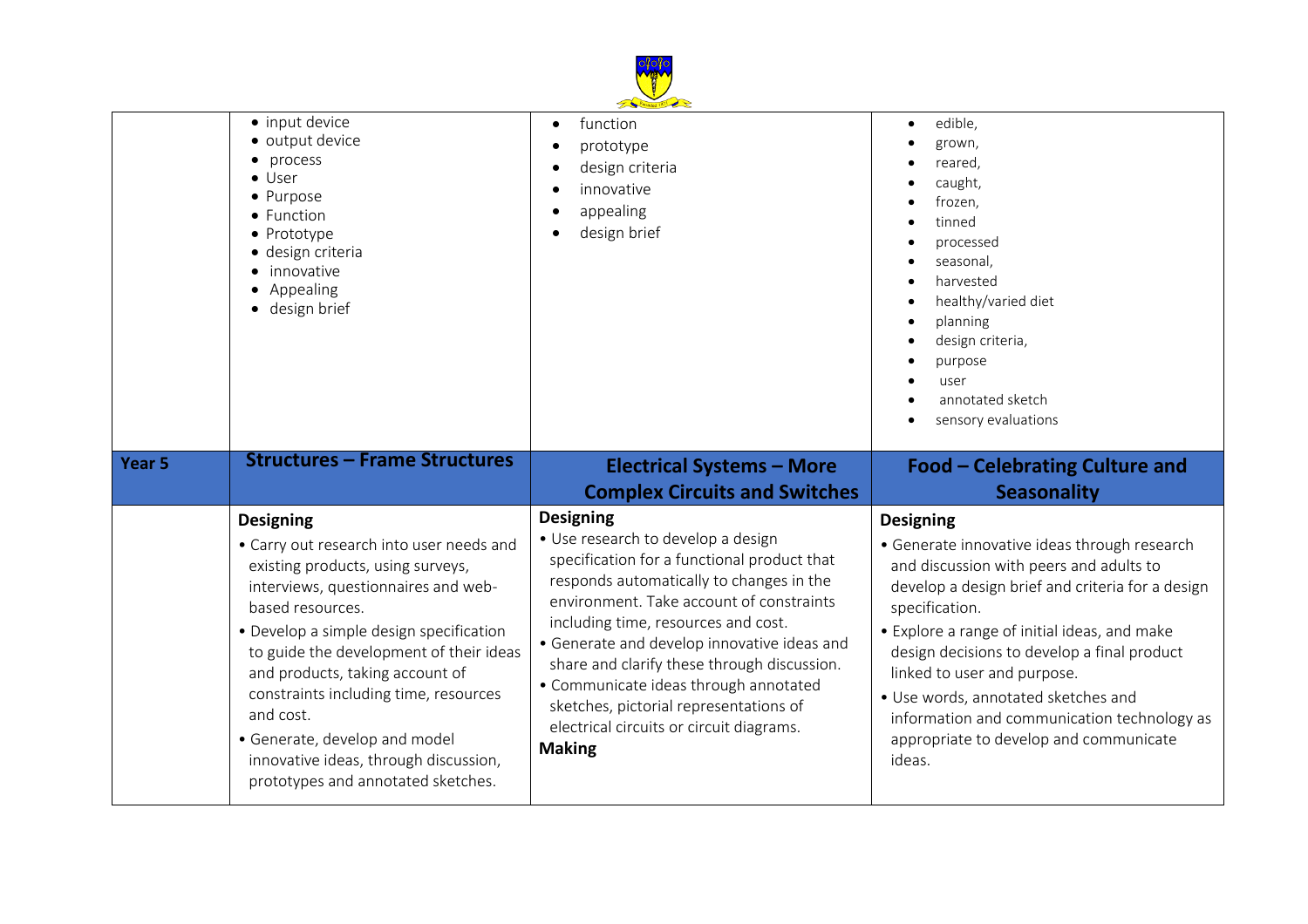|                   | • input device<br>• output device<br>• process<br>$\bullet$ User<br>• Purpose<br>• Function<br>• Prototype<br>· design criteria<br>innovative<br>Appealing<br>· design brief                                                                                                                                                                                                                                                                                | function<br>prototype<br>$\bullet$<br>design criteria<br>innovative<br>appealing<br>design brief                                                                                                                                                                                                                                                                                                                                                                                   | edible,<br>$\bullet$<br>grown,<br>reared,<br>caught,<br>frozen,<br>tinned<br>processed<br>seasonal,<br>harvested<br>healthy/varied diet<br>planning<br>design criteria,<br>purpose<br>user<br>annotated sketch<br>sensory evaluations                                                                                                                                                                                                                     |
|-------------------|-------------------------------------------------------------------------------------------------------------------------------------------------------------------------------------------------------------------------------------------------------------------------------------------------------------------------------------------------------------------------------------------------------------------------------------------------------------|------------------------------------------------------------------------------------------------------------------------------------------------------------------------------------------------------------------------------------------------------------------------------------------------------------------------------------------------------------------------------------------------------------------------------------------------------------------------------------|-----------------------------------------------------------------------------------------------------------------------------------------------------------------------------------------------------------------------------------------------------------------------------------------------------------------------------------------------------------------------------------------------------------------------------------------------------------|
| Year <sub>5</sub> | <b>Structures - Frame Structures</b>                                                                                                                                                                                                                                                                                                                                                                                                                        | <b>Electrical Systems - More</b><br><b>Complex Circuits and Switches</b>                                                                                                                                                                                                                                                                                                                                                                                                           | <b>Food - Celebrating Culture and</b><br><b>Seasonality</b>                                                                                                                                                                                                                                                                                                                                                                                               |
|                   | <b>Designing</b><br>• Carry out research into user needs and<br>existing products, using surveys,<br>interviews, questionnaires and web-<br>based resources.<br>· Develop a simple design specification<br>to guide the development of their ideas<br>and products, taking account of<br>constraints including time, resources<br>and cost.<br>• Generate, develop and model<br>innovative ideas, through discussion,<br>prototypes and annotated sketches. | <b>Designing</b><br>• Use research to develop a design<br>specification for a functional product that<br>responds automatically to changes in the<br>environment. Take account of constraints<br>including time, resources and cost.<br>• Generate and develop innovative ideas and<br>share and clarify these through discussion.<br>• Communicate ideas through annotated<br>sketches, pictorial representations of<br>electrical circuits or circuit diagrams.<br><b>Making</b> | <b>Designing</b><br>• Generate innovative ideas through research<br>and discussion with peers and adults to<br>develop a design brief and criteria for a design<br>specification.<br>• Explore a range of initial ideas, and make<br>design decisions to develop a final product<br>linked to user and purpose.<br>· Use words, annotated sketches and<br>information and communication technology as<br>appropriate to develop and communicate<br>ideas. |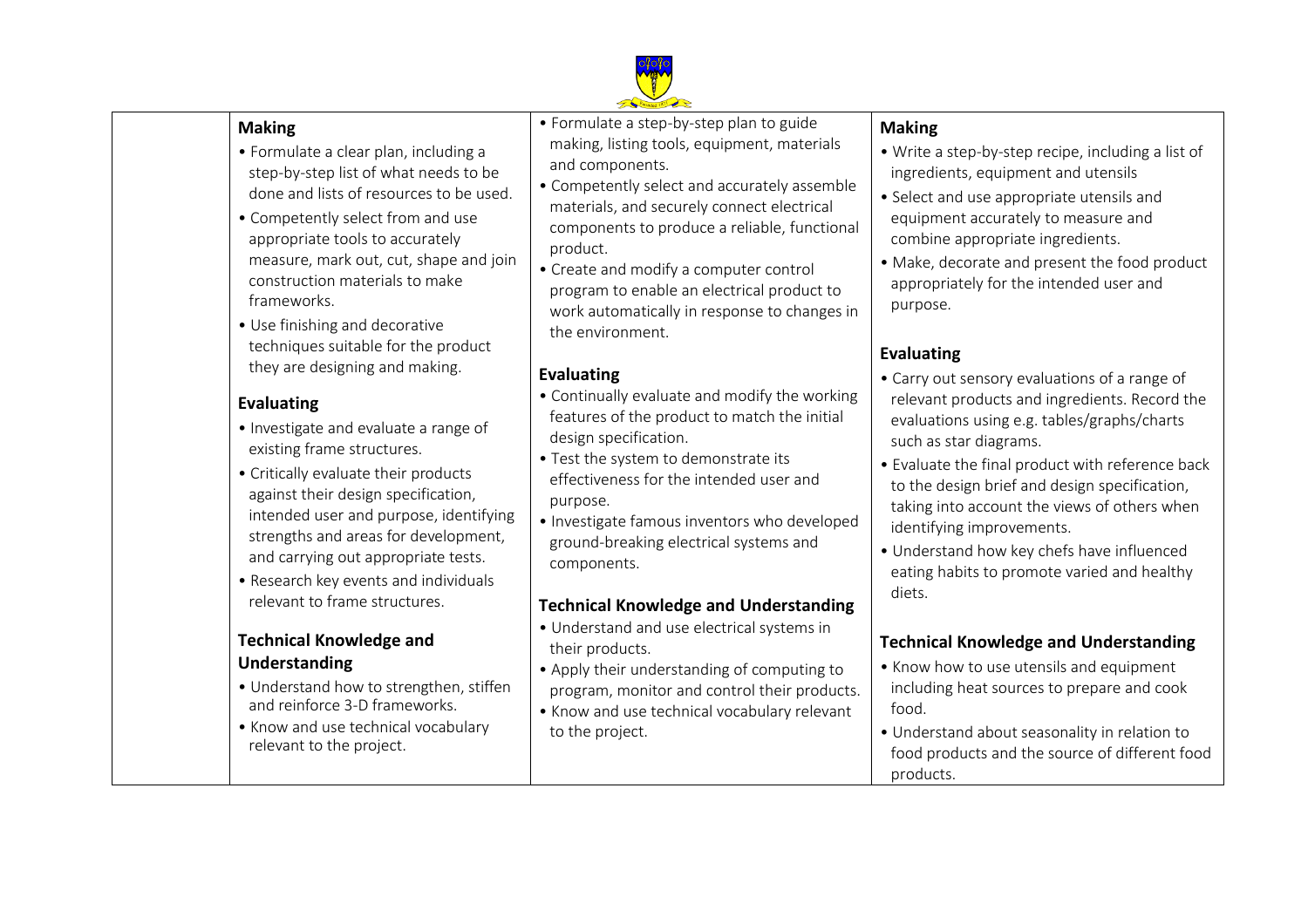

#### **Making**

- Formulate a clear plan, including a step-by-step list of what needs to be done and lists of resources to be used.
- Competently select from and use appropriate tools to accurately measure, mark out, cut, shape and join construction materials to make frameworks.
- Use finishing and decorative techniques suitable for the product they are designing and making.

#### **Evaluating**

- Investigate and evaluate a range of existing frame structures.
- Critically evaluate their products against their design specification, intended user and purpose, identifying strengths and areas for development, and carrying out appropriate tests.
- Research key events and individuals relevant to frame structures.

#### **Technical Knowledge and Understanding**

- Understand how to strengthen, stiffen and reinforce 3-D frameworks.
- Know and use technical vocabulary relevant to the project.

• Formulate a step-by-step plan to guide making, listing tools, equipment, materials and components.

- Competently select and accurately assemble materials, and securely connect electrical components to produce a reliable, functional product.
- Create and modify a computer control program to enable an electrical product to work automatically in response to changes in the environment.

## **Evaluating**

- Continually evaluate and modify the working features of the product to match the initial design specification.
- Test the system to demonstrate its effectiveness for the intended user and purpose.
- Investigate famous inventors who developed ground-breaking electrical systems and components.

## **Technical Knowledge and Understanding**

- Understand and use electrical systems in their products.
- Apply their understanding of computing to program, monitor and control their products.
- Know and use technical vocabulary relevant to the project.

## **Making**

- Write a step-by-step recipe, including a list of ingredients, equipment and utensils
- Select and use appropriate utensils and equipment accurately to measure and combine appropriate ingredients.
- Make, decorate and present the food product appropriately for the intended user and purpose.

## **Evaluating**

- Carry out sensory evaluations of a range of relevant products and ingredients. Record the evaluations using e.g. tables/graphs/charts such as star diagrams.
- Evaluate the final product with reference back to the design brief and design specification, taking into account the views of others when identifying improvements.
- Understand how key chefs have influenced eating habits to promote varied and healthy diets.

## **Technical Knowledge and Understanding**

- Know how to use utensils and equipment including heat sources to prepare and cook food.
- Understand about seasonality in relation to food products and the source of different food products.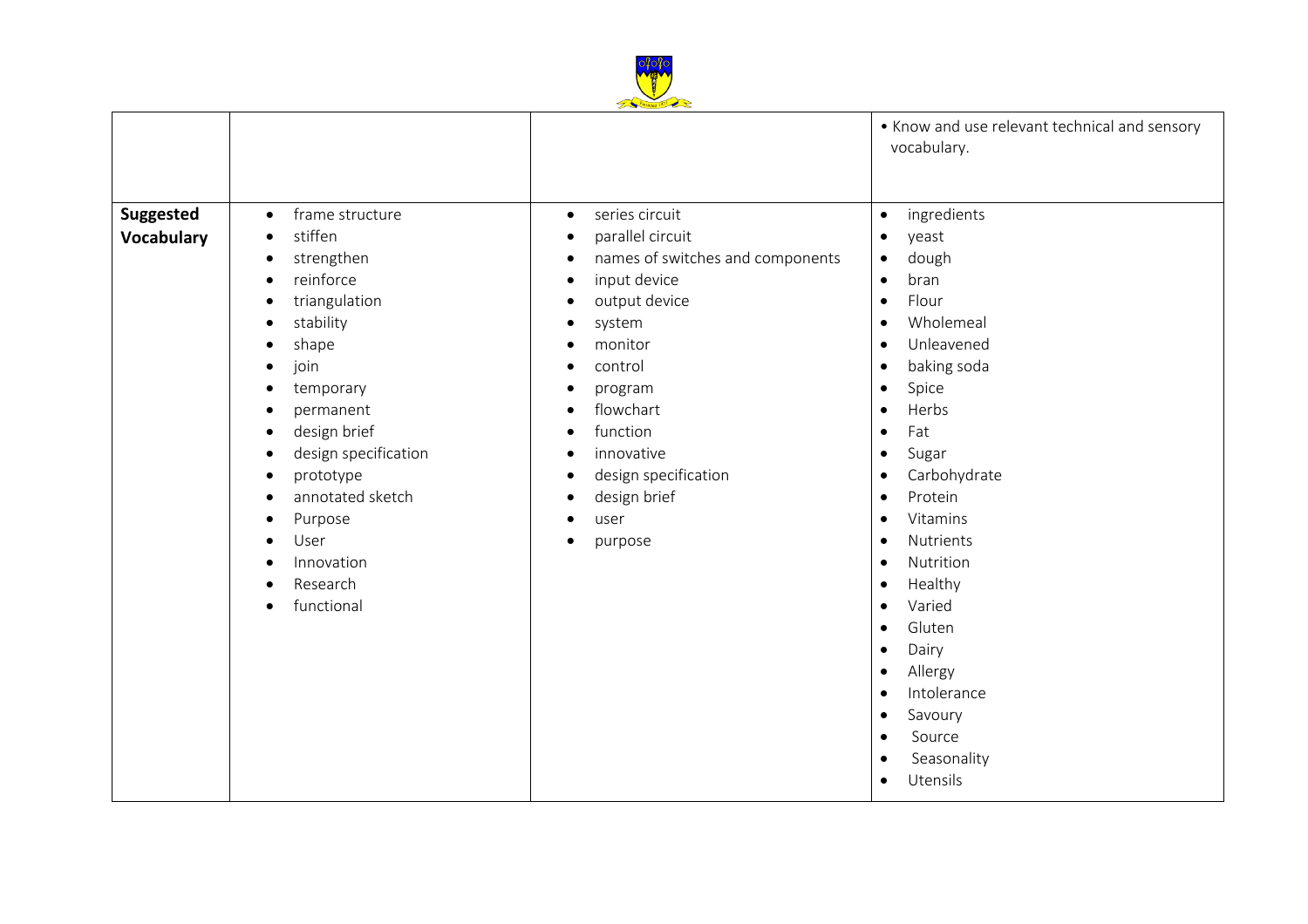

|                         |                                                                                                                                                                                                                                                                                                                                                                                               |                                                                                                                                                                                                                                                                                                                                                                                                                       | • Know and use relevant technical and sensory<br>vocabulary.                                                                                                                                                                                                                                                                                                                                                                                                                                                                                                                                                                                                                 |
|-------------------------|-----------------------------------------------------------------------------------------------------------------------------------------------------------------------------------------------------------------------------------------------------------------------------------------------------------------------------------------------------------------------------------------------|-----------------------------------------------------------------------------------------------------------------------------------------------------------------------------------------------------------------------------------------------------------------------------------------------------------------------------------------------------------------------------------------------------------------------|------------------------------------------------------------------------------------------------------------------------------------------------------------------------------------------------------------------------------------------------------------------------------------------------------------------------------------------------------------------------------------------------------------------------------------------------------------------------------------------------------------------------------------------------------------------------------------------------------------------------------------------------------------------------------|
| Suggested<br>Vocabulary | frame structure<br>$\bullet$<br>stiffen<br>$\bullet$<br>strengthen<br>٠<br>reinforce<br>$\bullet$<br>triangulation<br>٠<br>stability<br>$\bullet$<br>shape<br>٠<br>join<br>٠<br>temporary<br>٠<br>permanent<br>design brief<br>٠<br>design specification<br>٠<br>prototype<br>annotated sketch<br>٠<br>Purpose<br>٠<br>User<br>$\bullet$<br>Innovation<br>Research<br>functional<br>$\bullet$ | series circuit<br>$\bullet$<br>parallel circuit<br>names of switches and components<br>$\bullet$<br>input device<br>$\bullet$<br>output device<br>$\bullet$<br>system<br>٠<br>monitor<br>control<br>$\bullet$<br>program<br>$\bullet$<br>flowchart<br>$\bullet$<br>function<br>$\bullet$<br>innovative<br>$\bullet$<br>design specification<br>design brief<br>$\bullet$<br>user<br>$\bullet$<br>purpose<br>$\bullet$ | ingredients<br>$\bullet$<br>yeast<br>$\bullet$<br>dough<br>$\bullet$<br>bran<br>$\bullet$<br>Flour<br>$\bullet$<br>Wholemeal<br>$\bullet$<br>Unleavened<br>$\bullet$<br>baking soda<br>$\bullet$<br>Spice<br>$\bullet$<br>Herbs<br>$\bullet$<br>Fat<br>$\bullet$<br>Sugar<br>$\bullet$<br>Carbohydrate<br>$\bullet$<br>Protein<br>$\bullet$<br>Vitamins<br>$\bullet$<br>Nutrients<br>$\bullet$<br>Nutrition<br>$\bullet$<br>Healthy<br>$\bullet$<br>Varied<br>$\bullet$<br>Gluten<br>$\bullet$<br>Dairy<br>$\bullet$<br>Allergy<br>$\bullet$<br>Intolerance<br>$\bullet$<br>Savoury<br>$\bullet$<br>Source<br>$\bullet$<br>Seasonality<br>$\bullet$<br>Utensils<br>$\bullet$ |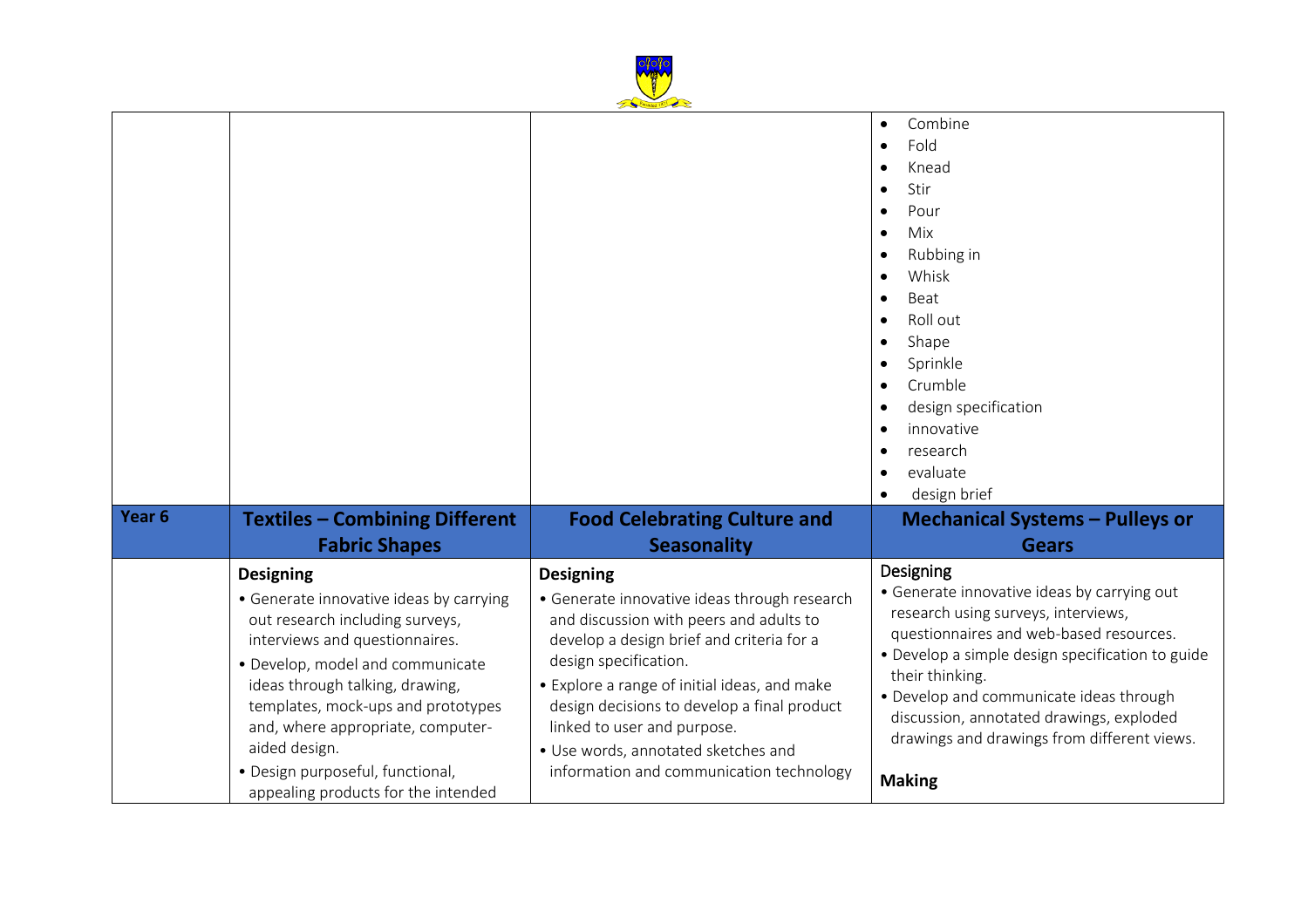

|                   |                                                                                                                                                                                                                                                                                                                                                                                |                                                                                                                                                                                                                                                                                                                                                                                                    | Combine<br>Fold<br>Knead<br>Stir<br>Pour<br>Mix<br>Rubbing in<br>Whisk<br>Beat<br>Roll out<br>Shape<br>Sprinkle<br>Crumble<br>design specification<br>innovative<br>research<br>evaluate<br>design brief                                                                                                                                                                 |
|-------------------|--------------------------------------------------------------------------------------------------------------------------------------------------------------------------------------------------------------------------------------------------------------------------------------------------------------------------------------------------------------------------------|----------------------------------------------------------------------------------------------------------------------------------------------------------------------------------------------------------------------------------------------------------------------------------------------------------------------------------------------------------------------------------------------------|--------------------------------------------------------------------------------------------------------------------------------------------------------------------------------------------------------------------------------------------------------------------------------------------------------------------------------------------------------------------------|
| Year <sub>6</sub> | <b>Textiles - Combining Different</b>                                                                                                                                                                                                                                                                                                                                          | <b>Food Celebrating Culture and</b>                                                                                                                                                                                                                                                                                                                                                                | <b>Mechanical Systems - Pulleys or</b>                                                                                                                                                                                                                                                                                                                                   |
|                   | <b>Fabric Shapes</b>                                                                                                                                                                                                                                                                                                                                                           | <b>Seasonality</b>                                                                                                                                                                                                                                                                                                                                                                                 | <b>Gears</b>                                                                                                                                                                                                                                                                                                                                                             |
|                   |                                                                                                                                                                                                                                                                                                                                                                                |                                                                                                                                                                                                                                                                                                                                                                                                    |                                                                                                                                                                                                                                                                                                                                                                          |
|                   | <b>Designing</b><br>• Generate innovative ideas by carrying<br>out research including surveys,<br>interviews and questionnaires.<br>· Develop, model and communicate<br>ideas through talking, drawing,<br>templates, mock-ups and prototypes<br>and, where appropriate, computer-<br>aided design.<br>• Design purposeful, functional,<br>appealing products for the intended | <b>Designing</b><br>• Generate innovative ideas through research<br>and discussion with peers and adults to<br>develop a design brief and criteria for a<br>design specification.<br>• Explore a range of initial ideas, and make<br>design decisions to develop a final product<br>linked to user and purpose.<br>· Use words, annotated sketches and<br>information and communication technology | Designing<br>• Generate innovative ideas by carrying out<br>research using surveys, interviews,<br>questionnaires and web-based resources.<br>• Develop a simple design specification to guide<br>their thinking.<br>• Develop and communicate ideas through<br>discussion, annotated drawings, exploded<br>drawings and drawings from different views.<br><b>Making</b> |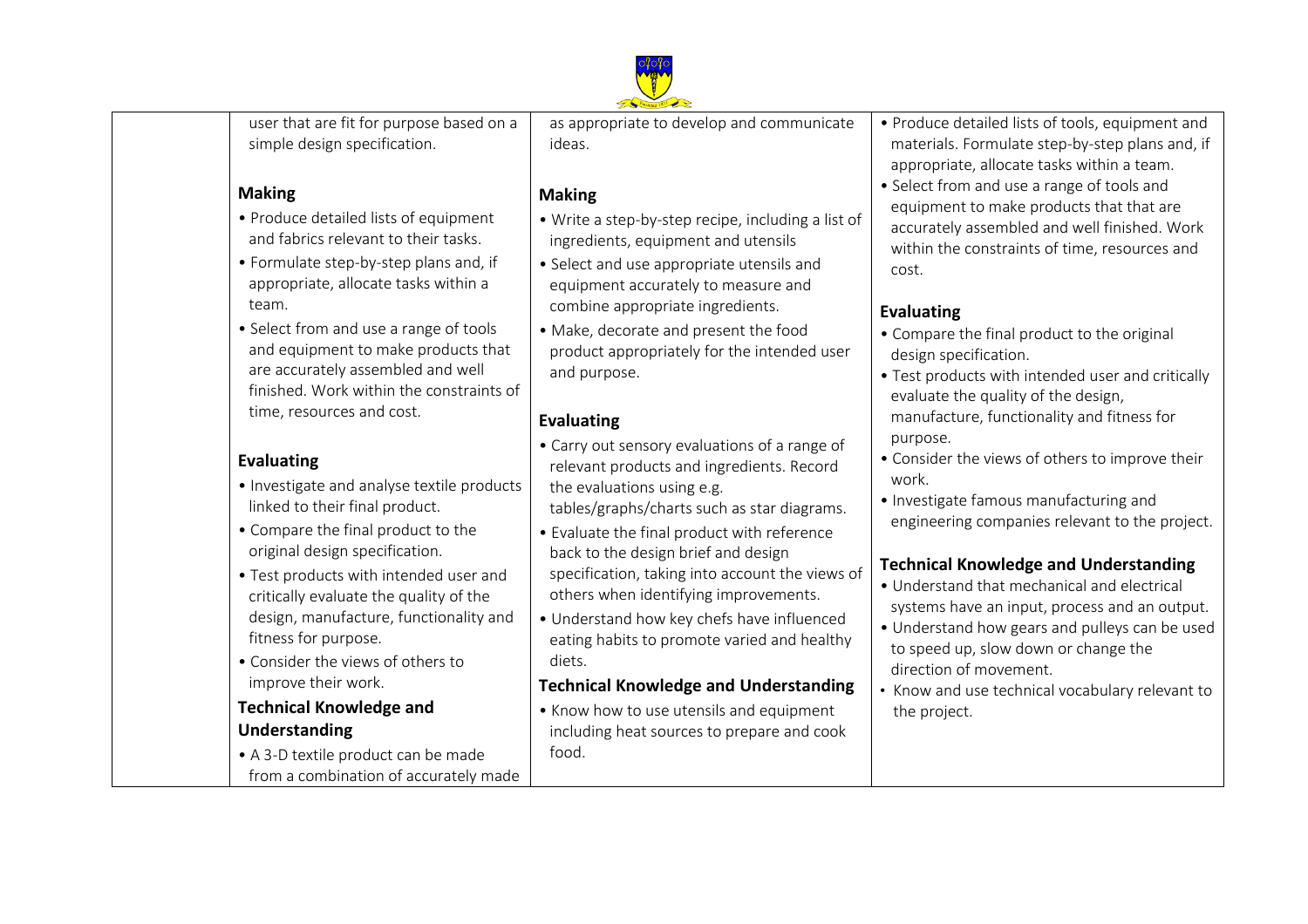

user that are fit for purpose based on a simple design specification.

#### **Making**

- Produce detailed lists of equipment and fabrics relevant to their tasks.
- Formulate step-by-step plans and, if appropriate, allocate tasks within a team.
- Select from and use a range of tools and equipment to make products that are accurately assembled and well finished. Work within the constraints of time, resources and cost.

## **Evaluating**

- Investigate and analyse textile products linked to their final product.
- Compare the final product to the original design specification.
- Test products with intended user and critically evaluate the quality of the design, manufacture, functionality and fitness for purpose.
- Consider the views of others to improve their work.

## **Technical Knowledge and Understanding**

• A 3-D textile product can be made from a combination of accurately made as appropriate to develop and communicate ideas.

## **Making**

- Write a step-by-step recipe, including a list of ingredients, equipment and utensils
- Select and use appropriate utensils and equipment accurately to measure and combine appropriate ingredients.
- Make, decorate and present the food product appropriately for the intended user and purpose.

# **Evaluating**

- Carry out sensory evaluations of a range of relevant products and ingredients. Record the evaluations using e.g. tables/graphs/charts such as star diagrams.
- Evaluate the final product with reference back to the design brief and design specification, taking into account the views of others when identifying improvements.
- Understand how key chefs have influenced eating habits to promote varied and healthy diets.

## **Technical Knowledge and Understanding**

• Know how to use utensils and equipment including heat sources to prepare and cook food.

- Produce detailed lists of tools, equipment and materials. Formulate step-by-step plans and, if appropriate, allocate tasks within a team.
- Select from and use a range of tools and equipment to make products that that are accurately assembled and well finished. Work within the constraints of time, resources and cost.

# **Evaluating**

- Compare the final product to the original design specification.
- Test products with intended user and critically evaluate the quality of the design, manufacture, functionality and fitness for purpose.
- Consider the views of others to improve their work.
- Investigate famous manufacturing and engineering companies relevant to the project.

# **Technical Knowledge and Understanding**

- Understand that mechanical and electrical systems have an input, process and an output.
- Understand how gears and pulleys can be used to speed up, slow down or change the direction of movement.
- Know and use technical vocabulary relevant to the project.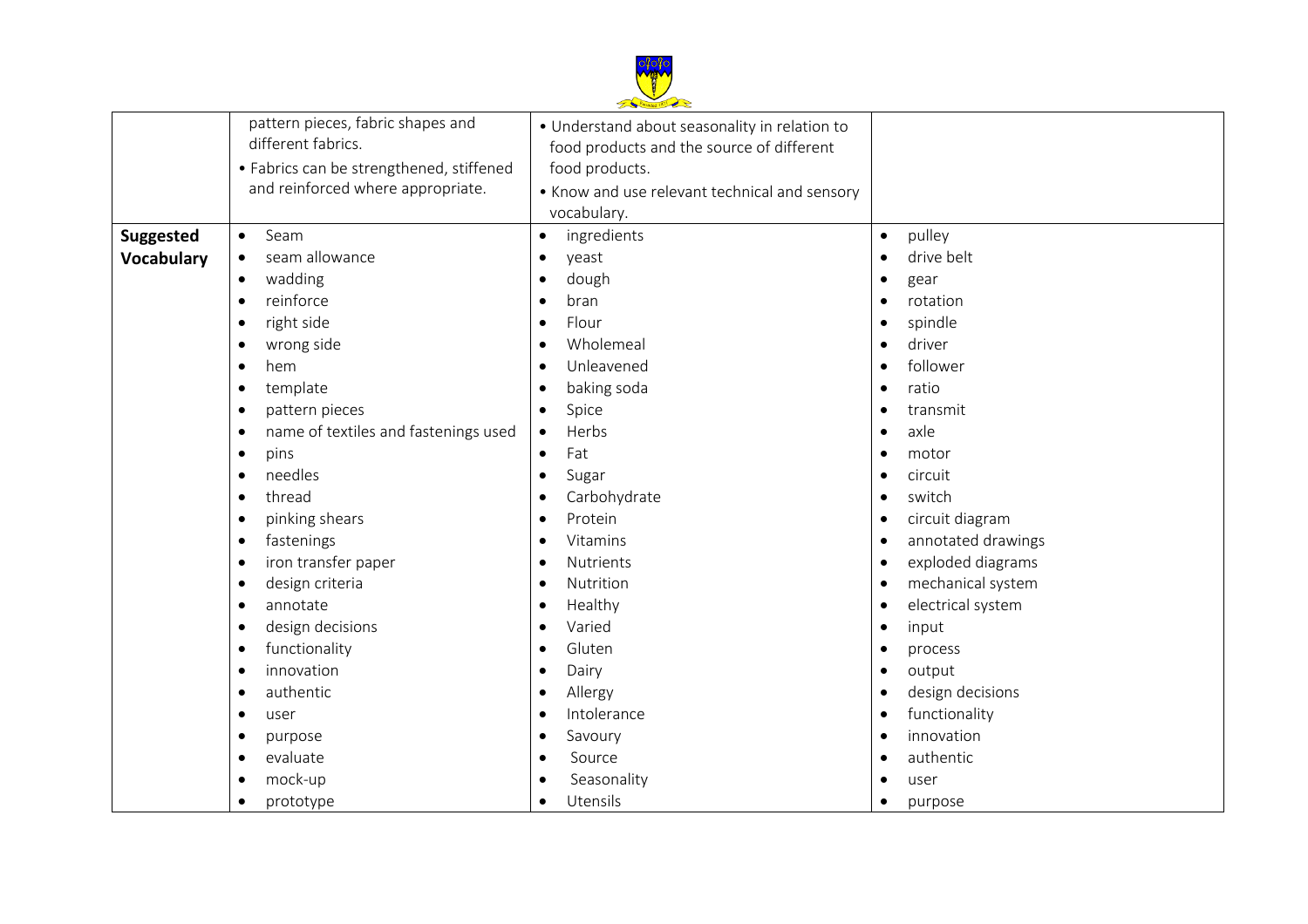

|                   | pattern pieces, fabric shapes and        | • Understand about seasonality in relation to |                                 |
|-------------------|------------------------------------------|-----------------------------------------------|---------------------------------|
|                   | different fabrics.                       | food products and the source of different     |                                 |
|                   | • Fabrics can be strengthened, stiffened | food products.                                |                                 |
|                   | and reinforced where appropriate.        | • Know and use relevant technical and sensory |                                 |
|                   |                                          | vocabulary.                                   |                                 |
| <b>Suggested</b>  | Seam<br>$\bullet$                        | ingredients<br>$\bullet$                      | pulley<br>$\bullet$             |
| <b>Vocabulary</b> | seam allowance                           | yeast<br>$\bullet$                            | drive belt<br>$\bullet$         |
|                   | wadding                                  | dough                                         |                                 |
|                   | $\bullet$<br>reinforce                   | bran                                          | gear<br>$\bullet$<br>rotation   |
|                   | $\bullet$<br>right side                  | Flour                                         | $\bullet$                       |
|                   |                                          |                                               | spindle<br>$\bullet$            |
|                   | wrong side                               | Wholemeal                                     | driver                          |
|                   | hem                                      | Unleavened                                    | follower                        |
|                   | template<br>٠                            | baking soda                                   | ratio<br>$\bullet$              |
|                   | pattern pieces                           | Spice                                         | transmit<br>$\bullet$           |
|                   | name of textiles and fastenings used     | Herbs<br>$\bullet$                            | axle<br>$\bullet$               |
|                   | pins<br>$\bullet$                        | Fat<br>$\bullet$                              | motor<br>$\bullet$              |
|                   | needles                                  | Sugar                                         | circuit<br>$\bullet$            |
|                   | thread                                   | Carbohydrate                                  | switch<br>$\bullet$             |
|                   | pinking shears                           | Protein                                       | circuit diagram<br>$\bullet$    |
|                   | fastenings<br>$\bullet$                  | Vitamins<br>$\bullet$                         | annotated drawings<br>$\bullet$ |
|                   | iron transfer paper<br>$\bullet$         | Nutrients                                     | exploded diagrams<br>$\bullet$  |
|                   | design criteria                          | Nutrition                                     | mechanical system<br>$\bullet$  |
|                   | annotate<br>٠                            | Healthy                                       | electrical system<br>$\bullet$  |
|                   | design decisions<br>٠                    | Varied                                        | input<br>$\bullet$              |
|                   | functionality<br>$\bullet$               | Gluten                                        | process<br>$\bullet$            |
|                   | innovation<br>$\bullet$                  | Dairy                                         | output<br>$\bullet$             |
|                   | authentic<br>$\bullet$                   | Allergy<br>$\bullet$                          | design decisions<br>$\bullet$   |
|                   | user<br>٠                                | Intolerance                                   | functionality<br>$\bullet$      |
|                   | purpose<br>$\bullet$                     | Savoury                                       | innovation<br>$\bullet$         |
|                   | evaluate                                 | Source                                        | authentic<br>$\bullet$          |
|                   | mock-up                                  | Seasonality                                   | user<br>$\bullet$               |
|                   | prototype                                | Utensils                                      | purpose                         |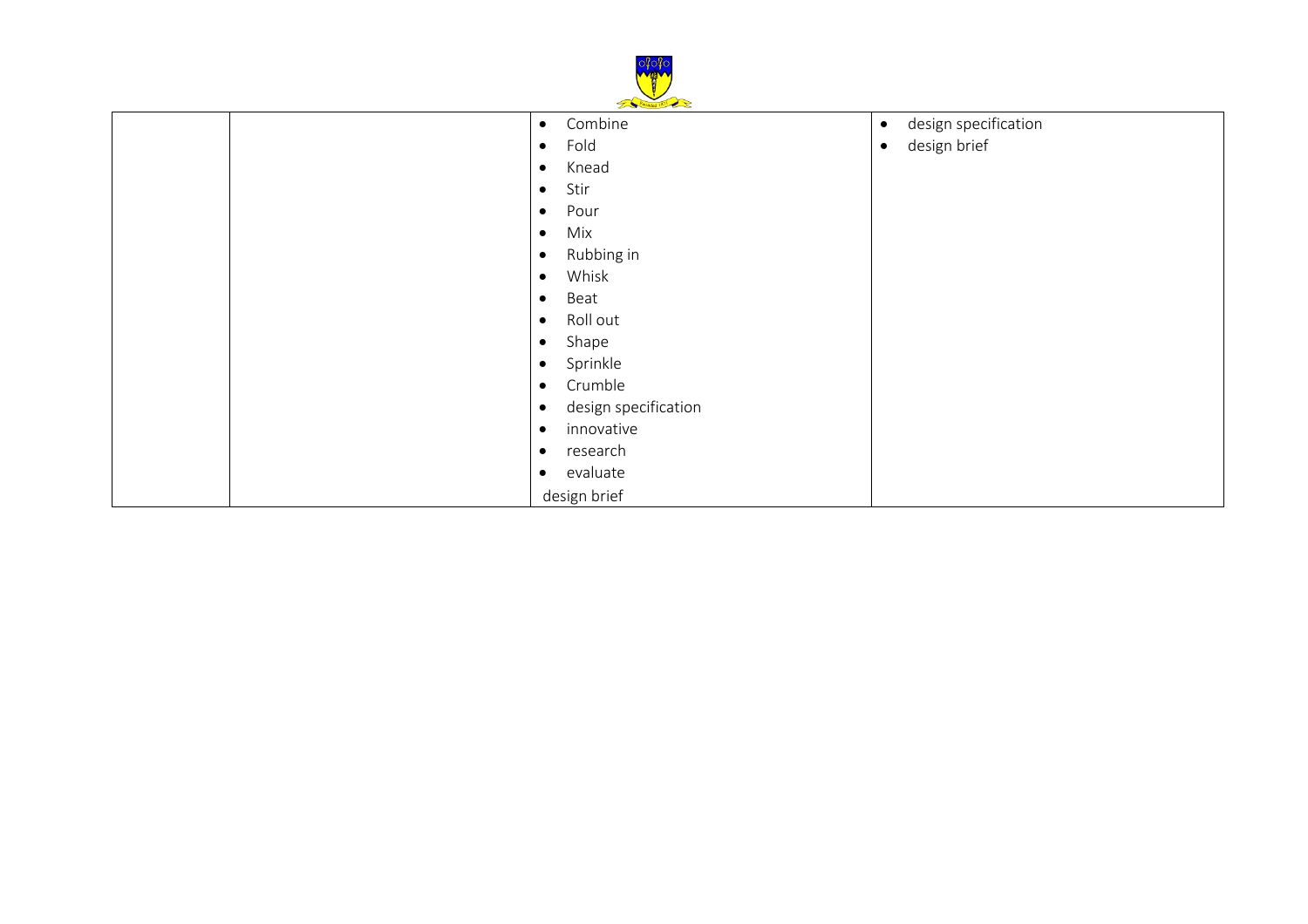| $\frac{1}{2}$<br>Founded 1871 |           |                      |                                   |  |
|-------------------------------|-----------|----------------------|-----------------------------------|--|
|                               | $\bullet$ | Combine              | design specification<br>$\bullet$ |  |
|                               | $\bullet$ | Fold                 | design brief<br>$\bullet$         |  |
|                               | $\bullet$ | Knead                |                                   |  |
|                               | $\bullet$ | Stir                 |                                   |  |
|                               | $\bullet$ | Pour                 |                                   |  |
|                               | $\bullet$ | Mix                  |                                   |  |
|                               | $\bullet$ | Rubbing in           |                                   |  |
|                               | $\bullet$ | Whisk                |                                   |  |
|                               | $\bullet$ | Beat                 |                                   |  |
|                               | $\bullet$ | Roll out             |                                   |  |
|                               | $\bullet$ | Shape                |                                   |  |
|                               | $\bullet$ | Sprinkle             |                                   |  |
|                               | $\bullet$ | Crumble              |                                   |  |
|                               | $\bullet$ | design specification |                                   |  |
|                               | $\bullet$ | innovative           |                                   |  |
|                               | $\bullet$ | research             |                                   |  |
|                               | $\bullet$ | evaluate             |                                   |  |
|                               |           | design brief         |                                   |  |